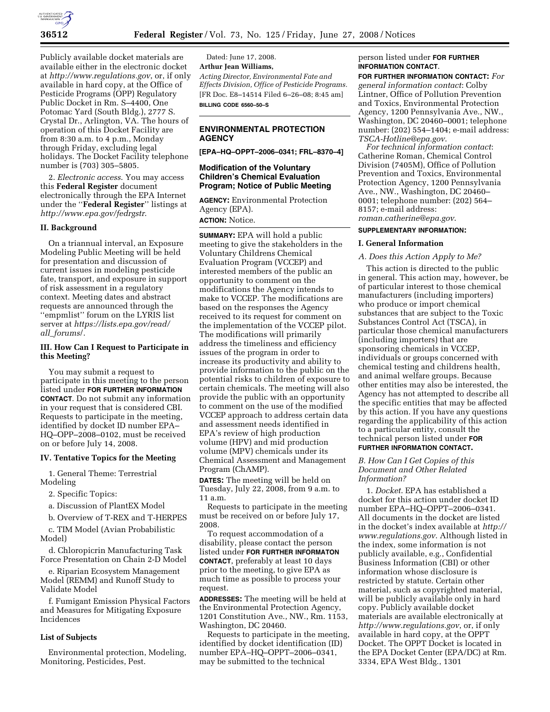

Publicly available docket materials are available either in the electronic docket at *http://www.regulations.gov*, or, if only available in hard copy, at the Office of Pesticide Programs (OPP) Regulatory Public Docket in Rm. S–4400, One Potomac Yard (South Bldg.), 2777 S. Crystal Dr., Arlington, VA. The hours of operation of this Docket Facility are from 8:30 a.m. to 4 p.m., Monday through Friday, excluding legal holidays. The Docket Facility telephone number is (703) 305–5805.

2. *Electronic access*. You may access this **Federal Register** document electronically through the EPA Internet under the ''**Federal Register**'' listings at *http://www.epa.gov/fedrgstr*.

# **II. Background**

On a triannual interval, an Exposure Modeling Public Meeting will be held for presentation and discussion of current issues in modeling pesticide fate, transport, and exposure in support of risk assessment in a regulatory context. Meeting dates and abstract requests are announced through the ''empmlist'' forum on the LYRIS list server at *https://lists.epa.gov/read/ all*\_*forums*/.

### **III. How Can I Request to Participate in this Meeting?**

You may submit a request to participate in this meeting to the person listed under **FOR FURTHER INFORMATION CONTACT**. Do not submit any information in your request that is considered CBI. Requests to participate in the meeting, identified by docket ID number EPA– HQ–OPP–2008–0102, must be received on or before July 14, 2008.

#### **IV. Tentative Topics for the Meeting**

1. General Theme: Terrestrial Modeling

2. Specific Topics:

a. Discussion of PlantEX Model

b. Overview of T-REX and T-HERPES

c. TIM Model (Avian Probabilistic Model)

d. Chloropicrin Manufacturing Task Force Presentation on Chain 2-D Model

e. Riparian Ecosystem Management Model (REMM) and Runoff Study to Validate Model

f. Fumigant Emission Physical Factors and Measures for Mitigating Exposure Incidences

#### **List of Subjects**

Environmental protection, Modeling, Monitoring, Pesticides, Pest.

Dated: June 17, 2008. **Arthur Jean Williams,**  *Acting Director, Environmental Fate and Effects Division, Office of Pesticide Programs.*  [FR Doc. E8–14514 Filed 6–26–08; 8:45 am] **BILLING CODE 6560–50–S** 

## **ENVIRONMENTAL PROTECTION AGENCY**

**[EPA–HQ–OPPT–2006–0341; FRL–8370–4]** 

## **Modification of the Voluntary Children's Chemical Evaluation Program; Notice of Public Meeting**

**AGENCY:** Environmental Protection Agency (EPA). **ACTION:** Notice.

**SUMMARY:** EPA will hold a public meeting to give the stakeholders in the Voluntary Childrens Chemical Evaluation Program (VCCEP) and interested members of the public an opportunity to comment on the modifications the Agency intends to make to VCCEP. The modifications are based on the responses the Agency received to its request for comment on the implementation of the VCCEP pilot. The modifications will primarily address the timeliness and efficiency issues of the program in order to increase its productivity and ability to provide information to the public on the potential risks to children of exposure to certain chemicals. The meeting will also provide the public with an opportunity to comment on the use of the modified VCCEP approach to address certain data and assessment needs identified in EPA's review of high production volume (HPV) and mid production volume (MPV) chemicals under its Chemical Assessment and Management Program (ChAMP).

**DATES:** The meeting will be held on Tuesday, July 22, 2008, from 9 a.m. to 11 a.m.

Requests to participate in the meeting must be received on or before July 17, 2008.

To request accommodation of a disability, please contact the person listed under **FOR FURTHER INFORMATON CONTACT**, preferably at least 10 days prior to the meeting, to give EPA as much time as possible to process your request.

**ADDRESSES:** The meeting will be held at the Environmental Protection Agency, 1201 Constitution Ave., NW., Rm. 1153, Washington, DC 20460.

Requests to participate in the meeting, identified by docket identification (ID) number EPA–HQ–OPPT–2006–0341, may be submitted to the technical

## person listed under **FOR FURTHER INFORMATION CONTACT**.

**FOR FURTHER INFORMATION CONTACT:** *For general information contact*: Colby Lintner, Office of Pollution Prevention and Toxics, Environmental Protection Agency, 1200 Pennsylvania Ave., NW., Washington, DC 20460–0001; telephone number: (202) 554–1404; e-mail address: *TSCA-Hotline@epa.gov*.

*For technical information contact*: Catherine Roman, Chemical Control Division (7405M), Office of Pollution Prevention and Toxics, Environmental Protection Agency, 1200 Pennsylvania Ave., NW., Washington, DC 20460– 0001; telephone number: (202) 564– 8157; e-mail address: *roman.catherine@epa.gov*.

#### **SUPPLEMENTARY INFORMATION:**

#### **I. General Information**

#### *A. Does this Action Apply to Me?*

This action is directed to the public in general. This action may, however, be of particular interest to those chemical manufacturers (including importers) who produce or import chemical substances that are subject to the Toxic Substances Control Act (TSCA), in particular those chemical manufacturers (including importers) that are sponsoring chemicals in VCCEP, individuals or groups concerned with chemical testing and childrens health, and animal welfare groups. Because other entities may also be interested, the Agency has not attempted to describe all the specific entities that may be affected by this action. If you have any questions regarding the applicability of this action to a particular entity, consult the technical person listed under **FOR FURTHER INFORMATION CONTACT.** 

### *B. How Can I Get Copies of this Document and Other Related Information?*

1. *Docket*. EPA has established a docket for this action under docket ID number EPA–HQ–OPPT–2006–0341. All documents in the docket are listed in the docket's index available at *http:// www.regulations.gov*. Although listed in the index, some information is not publicly available, e.g., Confidential Business Information (CBI) or other information whose disclosure is restricted by statute. Certain other material, such as copyrighted material, will be publicly available only in hard copy. Publicly available docket materials are available electronically at *http://www.regulations.gov*, or, if only available in hard copy, at the OPPT Docket. The OPPT Docket is located in the EPA Docket Center (EPA/DC) at Rm. 3334, EPA West Bldg., 1301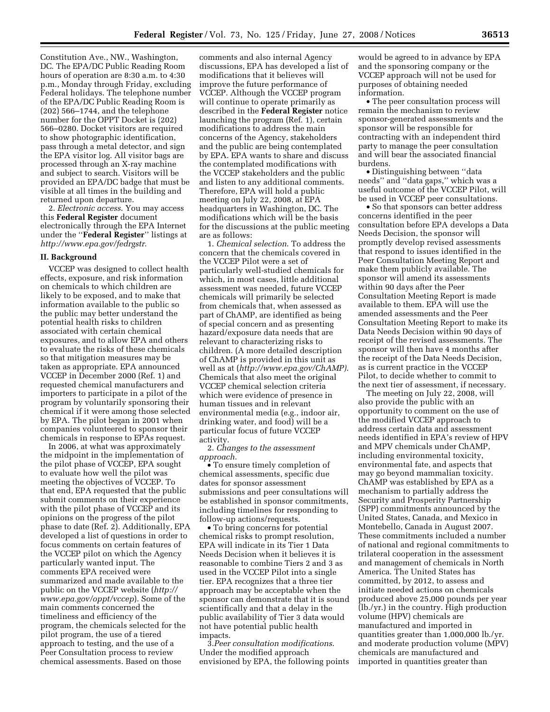Constitution Ave., NW., Washington, DC. The EPA/DC Public Reading Room hours of operation are 8:30 a.m. to 4:30 p.m., Monday through Friday, excluding Federal holidays. The telephone number of the EPA/DC Public Reading Room is (202) 566–1744, and the telephone number for the OPPT Docket is (202) 566–0280. Docket visitors are required to show photographic identification, pass through a metal detector, and sign the EPA visitor log. All visitor bags are processed through an X-ray machine and subject to search. Visitors will be provided an EPA/DC badge that must be visible at all times in the building and returned upon departure.

2. *Electronic access*. You may access this **Federal Register** document electronically through the EPA Internet under the ''**Federal Register**'' listings at *http://www.epa.gov/fedrgstr*.

#### **II. Background**

VCCEP was designed to collect health effects, exposure, and risk information on chemicals to which children are likely to be exposed, and to make that information available to the public so the public may better understand the potential health risks to children associated with certain chemical exposures, and to allow EPA and others to evaluate the risks of these chemicals so that mitigation measures may be taken as appropriate. EPA announced VCCEP in December 2000 (Ref. 1) and requested chemical manufacturers and importers to participate in a pilot of the program by voluntarily sponsoring their chemical if it were among those selected by EPA. The pilot began in 2001 when companies volunteered to sponsor their chemicals in response to EPAs request.

In 2006, at what was approximately the midpoint in the implementation of the pilot phase of VCCEP, EPA sought to evaluate how well the pilot was meeting the objectives of VCCEP. To that end, EPA requested that the public submit comments on their experience with the pilot phase of VCCEP and its opinions on the progress of the pilot phase to date (Ref. 2). Additionally, EPA developed a list of questions in order to focus comments on certain features of the VCCEP pilot on which the Agency particularly wanted input. The comments EPA received were summarized and made available to the public on the VCCEP website (*http:// www.epa.gov/oppt/vccep*). Some of the main comments concerned the timeliness and efficiency of the program, the chemicals selected for the pilot program, the use of a tiered approach to testing, and the use of a Peer Consultation process to review chemical assessments. Based on those

comments and also internal Agency discussions, EPA has developed a list of modifications that it believes will improve the future performance of VCCEP. Although the VCCEP program will continue to operate primarily as described in the **Federal Register** notice launching the program (Ref. 1), certain modifications to address the main concerns of the Agency, stakeholders and the public are being contemplated by EPA. EPA wants to share and discuss the contemplated modifications with the VCCEP stakeholders and the public and listen to any additional comments. Therefore, EPA will hold a public meeting on July 22, 2008, at EPA headquarters in Washington, DC. The modifications which will be the basis for the discussions at the public meeting are as follows:

1. *Chemical selection*. To address the concern that the chemicals covered in the VCCEP Pilot were a set of particularly well-studied chemicals for which, in most cases, little additional assessment was needed, future VCCEP chemicals will primarily be selected from chemicals that, when assessed as part of ChAMP, are identified as being of special concern and as presenting hazard/exposure data needs that are relevant to characterizing risks to children. (A more detailed description of ChAMP is provided in this unit as well as at (*http://www.epa.gov/ChAMP)*. Chemicals that also meet the original VCCEP chemical selection criteria which were evidence of presence in human tissues and in relevant environmental media (e.g., indoor air, drinking water, and food) will be a particular focus of future VCCEP activity.

2. *Changes to the assessment approach*.

• To ensure timely completion of chemical assessments, specific due dates for sponsor assessment submissions and peer consultations will be established in sponsor commitments, including timelines for responding to follow-up actions/requests.

• To bring concerns for potential chemical risks to prompt resolution, EPA will indicate in its Tier 1 Data Needs Decision when it believes it is reasonable to combine Tiers 2 and 3 as used in the VCCEP Pilot into a single tier. EPA recognizes that a three tier approach may be acceptable when the sponsor can demonstrate that it is sound scientifically and that a delay in the public availability of Tier 3 data would not have potential public health impacts.

3.*Peer consultation modifications*. Under the modified approach envisioned by EPA, the following points

would be agreed to in advance by EPA and the sponsoring company or the VCCEP approach will not be used for purposes of obtaining needed information.

• The peer consultation process will remain the mechanism to review sponsor-generated assessments and the sponsor will be responsible for contracting with an independent third party to manage the peer consultation and will bear the associated financial burdens.

• Distinguishing between ''data needs'' and ''data gaps,'' which was a useful outcome of the VCCEP Pilot, will be used in VCCEP peer consultations.

• So that sponsors can better address concerns identified in the peer consultation before EPA develops a Data Needs Decision, the sponsor will promptly develop revised assessments that respond to issues identified in the Peer Consultation Meeting Report and make them publicly available. The sponsor will amend its assessments within 90 days after the Peer Consultation Meeting Report is made available to them. EPA will use the amended assessments and the Peer Consultation Meeting Report to make its Data Needs Decision within 90 days of receipt of the revised assessments. The sponsor will then have 4 months after the receipt of the Data Needs Decision, as is current practice in the VCCEP Pilot, to decide whether to commit to the next tier of assessment, if necessary.

The meeting on July 22, 2008, will also provide the public with an opportunity to comment on the use of the modified VCCEP approach to address certain data and assessment needs identified in EPA's review of HPV and MPV chemicals under ChAMP, including environmental toxicity, environmental fate, and aspects that may go beyond mammalian toxicity. ChAMP was established by EPA as a mechanism to partially address the Security and Prosperity Partnership (SPP) commitments announced by the United States, Canada, and Mexico in Montebello, Canada in August 2007. These commitments included a number of national and regional commitments to trilateral cooperation in the assessment and management of chemicals in North America. The United States has committed, by 2012, to assess and initiate needed actions on chemicals produced above 25,000 pounds per year (lb./yr.) in the country. High production volume (HPV) chemicals are manufactured and imported in quantities greater than 1,000,000 lb./yr. and moderate production volume (MPV) chemicals are manufactured and imported in quantities greater than